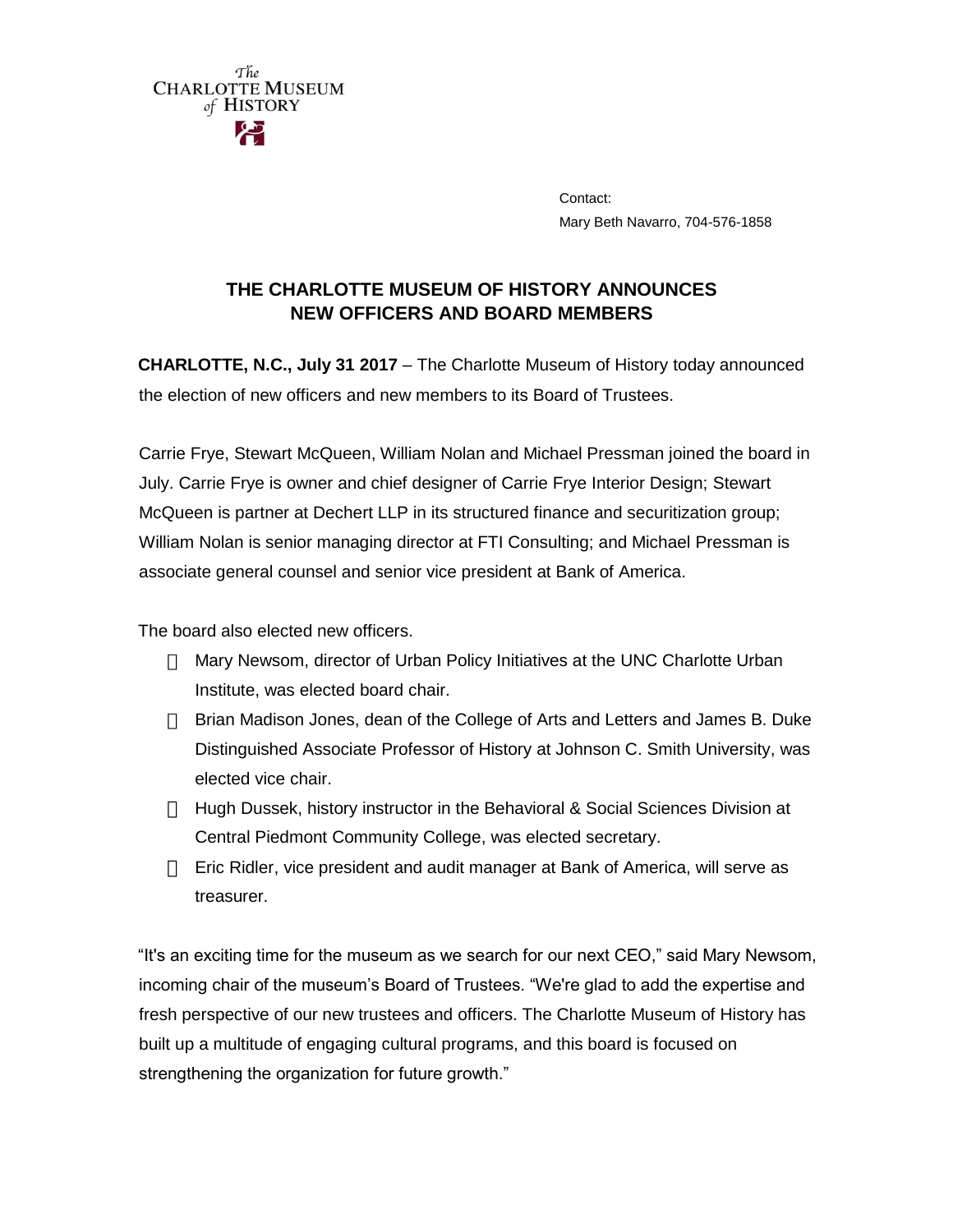

Contact: Mary Beth Navarro, 704-576-1858

## **THE CHARLOTTE MUSEUM OF HISTORY ANNOUNCES NEW OFFICERS AND BOARD MEMBERS**

**CHARLOTTE, N.C., July 31 2017** – The Charlotte Museum of History today announced the election of new officers and new members to its Board of Trustees.

Carrie Frye, Stewart McQueen, William Nolan and Michael Pressman joined the board in July. Carrie Frye is owner and chief designer of Carrie Frye Interior Design; Stewart McQueen is partner at Dechert LLP in its structured finance and securitization group; William Nolan is senior managing director at FTI Consulting; and Michael Pressman is associate general counsel and senior vice president at Bank of America.

The board also elected new officers.

- Mary Newsom, director of Urban Policy Initiatives at the UNC Charlotte Urban Institute, was elected board chair.
- $\Box$  Brian Madison Jones, dean of the College of Arts and Letters and James B. Duke Distinguished Associate Professor of History at Johnson C. Smith University, was elected vice chair.
- Hugh Dussek, history instructor in the Behavioral & Social Sciences Division at Central Piedmont Community College, was elected secretary.
- $\Box$  Eric Ridler, vice president and audit manager at Bank of America, will serve as treasurer.

"It's an exciting time for the museum as we search for our next CEO," said Mary Newsom, incoming chair of the museum's Board of Trustees. "We're glad to add the expertise and fresh perspective of our new trustees and officers. The Charlotte Museum of History has built up a multitude of engaging cultural programs, and this board is focused on strengthening the organization for future growth."